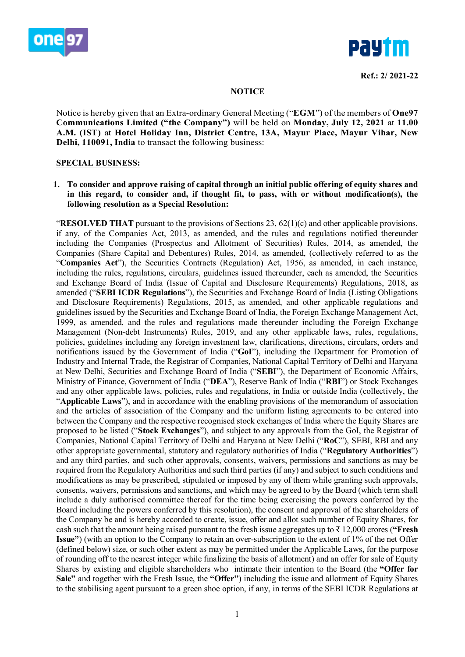



#### **NOTICE**

Notice is hereby given that an Extra-ordinary General Meeting ("**EGM**") of the members of **One97 Communications Limited ("the Company")** will be held on **Monday, July 12, 2021** at **11.00 A.M. (IST)** at **Hotel Holiday Inn, District Centre, 13A, Mayur Place, Mayur Vihar, New Delhi, 110091, India** to transact the following business:

#### **SPECIAL BUSINESS:**

**1. To consider and approve raising of capital through an initial public offering of equity shares and in this regard, to consider and, if thought fit, to pass, with or without modification(s), the following resolution as a Special Resolution:**

"**RESOLVED THAT** pursuant to the provisions of Sections 23,  $62(1)(c)$  and other applicable provisions, if any, of the Companies Act, 2013, as amended, and the rules and regulations notified thereunder including the Companies (Prospectus and Allotment of Securities) Rules, 2014, as amended, the Companies (Share Capital and Debentures) Rules, 2014, as amended, (collectively referred to as the "**Companies Act**"), the Securities Contracts (Regulation) Act, 1956, as amended, in each instance, including the rules, regulations, circulars, guidelines issued thereunder, each as amended, the Securities and Exchange Board of India (Issue of Capital and Disclosure Requirements) Regulations, 2018, as amended ("**SEBI ICDR Regulations**"), the Securities and Exchange Board of India (Listing Obligations and Disclosure Requirements) Regulations, 2015, as amended, and other applicable regulations and guidelines issued by the Securities and Exchange Board of India, the Foreign Exchange Management Act, 1999, as amended, and the rules and regulations made thereunder including the Foreign Exchange Management (Non-debt Instruments) Rules, 2019, and any other applicable laws, rules, regulations, policies, guidelines including any foreign investment law, clarifications, directions, circulars, orders and notifications issued by the Government of India ("**GoI**"), including the Department for Promotion of Industry and Internal Trade, the Registrar of Companies, National Capital Territory of Delhi and Haryana at New Delhi, Securities and Exchange Board of India ("**SEBI**"), the Department of Economic Affairs, Ministry of Finance, Government of India ("**DEA**"), Reserve Bank of India ("**RBI**") or Stock Exchanges and any other applicable laws, policies, rules and regulations, in India or outside India (collectively, the "**Applicable Laws**"), and in accordance with the enabling provisions of the memorandum of association and the articles of association of the Company and the uniform listing agreements to be entered into between the Company and the respective recognised stock exchanges of India where the Equity Shares are proposed to be listed ("**Stock Exchanges**"), and subject to any approvals from the GoI, the Registrar of Companies, National Capital Territory of Delhi and Haryana at New Delhi ("**RoC**"), SEBI, RBI and any other appropriate governmental, statutory and regulatory authorities of India ("**Regulatory Authorities**") and any third parties, and such other approvals, consents, waivers, permissions and sanctions as may be required from the Regulatory Authorities and such third parties (if any) and subject to such conditions and modifications as may be prescribed, stipulated or imposed by any of them while granting such approvals, consents, waivers, permissions and sanctions, and which may be agreed to by the Board (which term shall include a duly authorised committee thereof for the time being exercising the powers conferred by the Board including the powers conferred by this resolution), the consent and approval of the shareholders of the Company be and is hereby accorded to create, issue, offer and allot such number of Equity Shares, for cash such that the amount being raised pursuant to the fresh issue aggregates up to ₹ 12,000 crores (**"Fresh Issue"**) (with an option to the Company to retain an over-subscription to the extent of 1% of the net Offer (defined below) size, or such other extent as may be permitted under the Applicable Laws, for the purpose of rounding off to the nearest integer while finalizing the basis of allotment) and an offer for sale of Equity Shares by existing and eligible shareholders who intimate their intention to the Board (the **"Offer for Sale"** and together with the Fresh Issue, the **"Offer"**) including the issue and allotment of Equity Shares to the stabilising agent pursuant to a green shoe option, if any, in terms of the SEBI ICDR Regulations at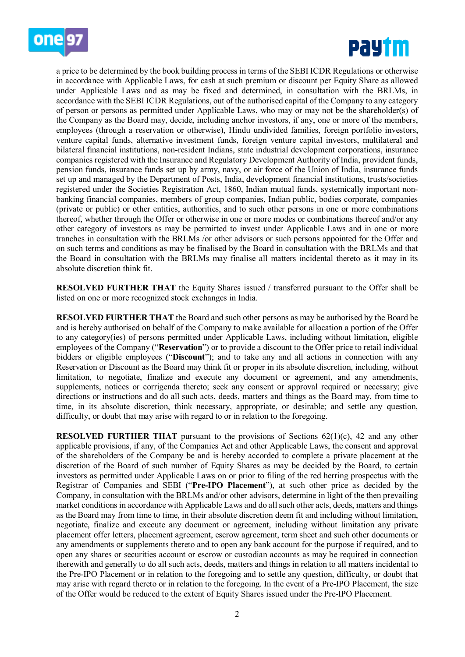



a price to be determined by the book building process in terms of the SEBI ICDR Regulations or otherwise in accordance with Applicable Laws, for cash at such premium or discount per Equity Share as allowed under Applicable Laws and as may be fixed and determined, in consultation with the BRLMs, in accordance with the SEBI ICDR Regulations, out of the authorised capital of the Company to any category of person or persons as permitted under Applicable Laws, who may or may not be the shareholder(s) of the Company as the Board may, decide, including anchor investors, if any, one or more of the members, employees (through a reservation or otherwise), Hindu undivided families, foreign portfolio investors, venture capital funds, alternative investment funds, foreign venture capital investors, multilateral and bilateral financial institutions, non-resident Indians, state industrial development corporations, insurance companies registered with the Insurance and Regulatory Development Authority of India, provident funds, pension funds, insurance funds set up by army, navy, or air force of the Union of India, insurance funds set up and managed by the Department of Posts, India, development financial institutions, trusts/societies registered under the Societies Registration Act, 1860, Indian mutual funds, systemically important nonbanking financial companies, members of group companies, Indian public, bodies corporate, companies (private or public) or other entities, authorities, and to such other persons in one or more combinations thereof, whether through the Offer or otherwise in one or more modes or combinations thereof and/or any other category of investors as may be permitted to invest under Applicable Laws and in one or more tranches in consultation with the BRLMs /or other advisors or such persons appointed for the Offer and on such terms and conditions as may be finalised by the Board in consultation with the BRLMs and that the Board in consultation with the BRLMs may finalise all matters incidental thereto as it may in its absolute discretion think fit.

**RESOLVED FURTHER THAT** the Equity Shares issued / transferred pursuant to the Offer shall be listed on one or more recognized stock exchanges in India.

**RESOLVED FURTHER THAT** the Board and such other persons as may be authorised by the Board be and is hereby authorised on behalf of the Company to make available for allocation a portion of the Offer to any category(ies) of persons permitted under Applicable Laws, including without limitation, eligible employees of the Company ("**Reservation**") or to provide a discount to the Offer price to retail individual bidders or eligible employees ("**Discount**"); and to take any and all actions in connection with any Reservation or Discount as the Board may think fit or proper in its absolute discretion, including, without limitation, to negotiate, finalize and execute any document or agreement, and any amendments, supplements, notices or corrigenda thereto; seek any consent or approval required or necessary; give directions or instructions and do all such acts, deeds, matters and things as the Board may, from time to time, in its absolute discretion, think necessary, appropriate, or desirable; and settle any question, difficulty, or doubt that may arise with regard to or in relation to the foregoing.

**RESOLVED FURTHER THAT** pursuant to the provisions of Sections  $62(1)(c)$ , 42 and any other applicable provisions, if any, of the Companies Act and other Applicable Laws, the consent and approval of the shareholders of the Company be and is hereby accorded to complete a private placement at the discretion of the Board of such number of Equity Shares as may be decided by the Board, to certain investors as permitted under Applicable Laws on or prior to filing of the red herring prospectus with the Registrar of Companies and SEBI ("**Pre-IPO Placement**"), at such other price as decided by the Company, in consultation with the BRLMs and/or other advisors, determine in light of the then prevailing market conditions in accordance with Applicable Laws and do all such other acts, deeds, matters and things as the Board may from time to time, in their absolute discretion deem fit and including without limitation, negotiate, finalize and execute any document or agreement, including without limitation any private placement offer letters, placement agreement, escrow agreement, term sheet and such other documents or any amendments or supplements thereto and to open any bank account for the purpose if required, and to open any shares or securities account or escrow or custodian accounts as may be required in connection therewith and generally to do all such acts, deeds, matters and things in relation to all matters incidental to the Pre-IPO Placement or in relation to the foregoing and to settle any question, difficulty, or doubt that may arise with regard thereto or in relation to the foregoing. In the event of a Pre-IPO Placement, the size of the Offer would be reduced to the extent of Equity Shares issued under the Pre-IPO Placement.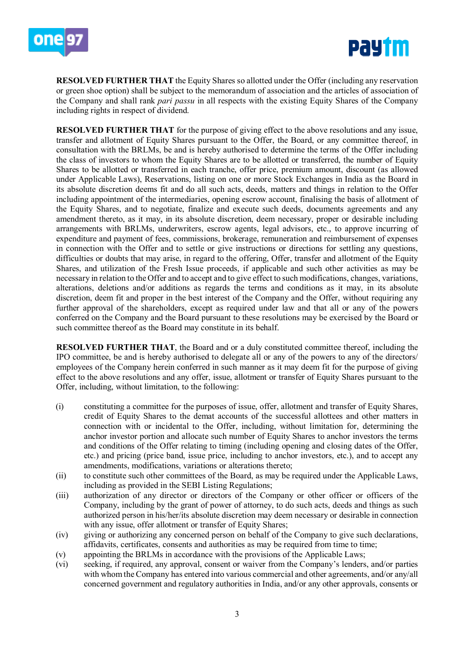



**RESOLVED FURTHER THAT** the Equity Shares so allotted under the Offer (including any reservation or green shoe option) shall be subject to the memorandum of association and the articles of association of the Company and shall rank *pari passu* in all respects with the existing Equity Shares of the Company including rights in respect of dividend.

**RESOLVED FURTHER THAT** for the purpose of giving effect to the above resolutions and any issue, transfer and allotment of Equity Shares pursuant to the Offer, the Board, or any committee thereof, in consultation with the BRLMs, be and is hereby authorised to determine the terms of the Offer including the class of investors to whom the Equity Shares are to be allotted or transferred, the number of Equity Shares to be allotted or transferred in each tranche, offer price, premium amount, discount (as allowed under Applicable Laws), Reservations, listing on one or more Stock Exchanges in India as the Board in its absolute discretion deems fit and do all such acts, deeds, matters and things in relation to the Offer including appointment of the intermediaries, opening escrow account, finalising the basis of allotment of the Equity Shares, and to negotiate, finalize and execute such deeds, documents agreements and any amendment thereto, as it may, in its absolute discretion, deem necessary, proper or desirable including arrangements with BRLMs, underwriters, escrow agents, legal advisors, etc., to approve incurring of expenditure and payment of fees, commissions, brokerage, remuneration and reimbursement of expenses in connection with the Offer and to settle or give instructions or directions for settling any questions, difficulties or doubts that may arise, in regard to the offering, Offer, transfer and allotment of the Equity Shares, and utilization of the Fresh Issue proceeds, if applicable and such other activities as may be necessary in relation to the Offer and to accept and to give effect to such modifications, changes, variations, alterations, deletions and/or additions as regards the terms and conditions as it may, in its absolute discretion, deem fit and proper in the best interest of the Company and the Offer, without requiring any further approval of the shareholders, except as required under law and that all or any of the powers conferred on the Company and the Board pursuant to these resolutions may be exercised by the Board or such committee thereof as the Board may constitute in its behalf.

**RESOLVED FURTHER THAT**, the Board and or a duly constituted committee thereof, including the IPO committee, be and is hereby authorised to delegate all or any of the powers to any of the directors/ employees of the Company herein conferred in such manner as it may deem fit for the purpose of giving effect to the above resolutions and any offer, issue, allotment or transfer of Equity Shares pursuant to the Offer, including, without limitation, to the following:

- (i) constituting a committee for the purposes of issue, offer, allotment and transfer of Equity Shares, credit of Equity Shares to the demat accounts of the successful allottees and other matters in connection with or incidental to the Offer, including, without limitation for, determining the anchor investor portion and allocate such number of Equity Shares to anchor investors the terms and conditions of the Offer relating to timing (including opening and closing dates of the Offer, etc.) and pricing (price band, issue price, including to anchor investors, etc.), and to accept any amendments, modifications, variations or alterations thereto;
- (ii) to constitute such other committees of the Board, as may be required under the Applicable Laws, including as provided in the SEBI Listing Regulations;
- (iii) authorization of any director or directors of the Company or other officer or officers of the Company, including by the grant of power of attorney, to do such acts, deeds and things as such authorized person in his/her/its absolute discretion may deem necessary or desirable in connection with any issue, offer allotment or transfer of Equity Shares;
- (iv) giving or authorizing any concerned person on behalf of the Company to give such declarations, affidavits, certificates, consents and authorities as may be required from time to time;
- (v) appointing the BRLMs in accordance with the provisions of the Applicable Laws;
- (vi) seeking, if required, any approval, consent or waiver from the Company's lenders, and/or parties with whom the Company has entered into various commercial and other agreements, and/or any/all concerned government and regulatory authorities in India, and/or any other approvals, consents or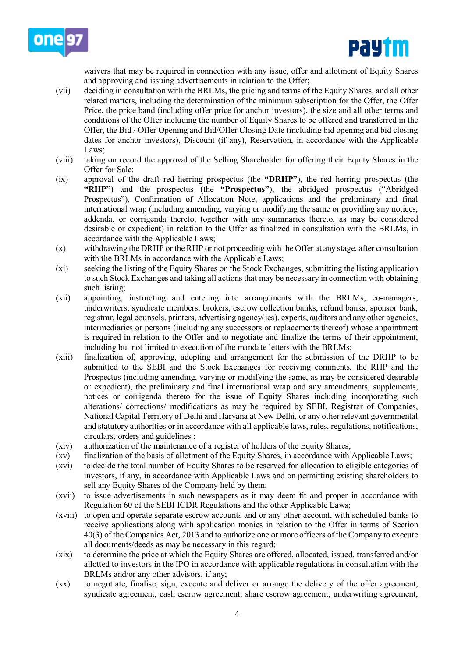



waivers that may be required in connection with any issue, offer and allotment of Equity Shares and approving and issuing advertisements in relation to the Offer;

- (vii) deciding in consultation with the BRLMs, the pricing and terms of the Equity Shares, and all other related matters, including the determination of the minimum subscription for the Offer, the Offer Price, the price band (including offer price for anchor investors), the size and all other terms and conditions of the Offer including the number of Equity Shares to be offered and transferred in the Offer, the Bid / Offer Opening and Bid/Offer Closing Date (including bid opening and bid closing dates for anchor investors), Discount (if any), Reservation, in accordance with the Applicable Laws;
- (viii) taking on record the approval of the Selling Shareholder for offering their Equity Shares in the Offer for Sale;
- (ix) approval of the draft red herring prospectus (the **"DRHP"**), the red herring prospectus (the **"RHP"**) and the prospectus (the **"Prospectus"**), the abridged prospectus ("Abridged Prospectus"), Confirmation of Allocation Note, applications and the preliminary and final international wrap (including amending, varying or modifying the same or providing any notices, addenda, or corrigenda thereto, together with any summaries thereto, as may be considered desirable or expedient) in relation to the Offer as finalized in consultation with the BRLMs, in accordance with the Applicable Laws;
- (x) withdrawing the DRHP or the RHP or not proceeding with the Offer at any stage, after consultation with the BRLMs in accordance with the Applicable Laws;
- (xi) seeking the listing of the Equity Shares on the Stock Exchanges, submitting the listing application to such Stock Exchanges and taking all actions that may be necessary in connection with obtaining such listing;
- (xii) appointing, instructing and entering into arrangements with the BRLMs, co-managers, underwriters, syndicate members, brokers, escrow collection banks, refund banks, sponsor bank, registrar, legal counsels, printers, advertising agency(ies), experts, auditors and any other agencies, intermediaries or persons (including any successors or replacements thereof) whose appointment is required in relation to the Offer and to negotiate and finalize the terms of their appointment, including but not limited to execution of the mandate letters with the BRLMs;
- (xiii) finalization of, approving, adopting and arrangement for the submission of the DRHP to be submitted to the SEBI and the Stock Exchanges for receiving comments, the RHP and the Prospectus (including amending, varying or modifying the same, as may be considered desirable or expedient), the preliminary and final international wrap and any amendments, supplements, notices or corrigenda thereto for the issue of Equity Shares including incorporating such alterations/ corrections/ modifications as may be required by SEBI, Registrar of Companies, National Capital Territory of Delhi and Haryana at New Delhi, or any other relevant governmental and statutory authorities or in accordance with all applicable laws, rules, regulations, notifications, circulars, orders and guidelines ;
- (xiv) authorization of the maintenance of a register of holders of the Equity Shares;
- (xv) finalization of the basis of allotment of the Equity Shares, in accordance with Applicable Laws;
- (xvi) to decide the total number of Equity Shares to be reserved for allocation to eligible categories of investors, if any, in accordance with Applicable Laws and on permitting existing shareholders to sell any Equity Shares of the Company held by them;
- (xvii) to issue advertisements in such newspapers as it may deem fit and proper in accordance with Regulation 60 of the SEBI ICDR Regulations and the other Applicable Laws;
- (xviii) to open and operate separate escrow accounts and or any other account, with scheduled banks to receive applications along with application monies in relation to the Offer in terms of Section 40(3) of the Companies Act, 2013 and to authorize one or more officers of the Company to execute all documents/deeds as may be necessary in this regard;
- (xix) to determine the price at which the Equity Shares are offered, allocated, issued, transferred and/or allotted to investors in the IPO in accordance with applicable regulations in consultation with the BRLMs and/or any other advisors, if any;
- (xx) to negotiate, finalise, sign, execute and deliver or arrange the delivery of the offer agreement, syndicate agreement, cash escrow agreement, share escrow agreement, underwriting agreement,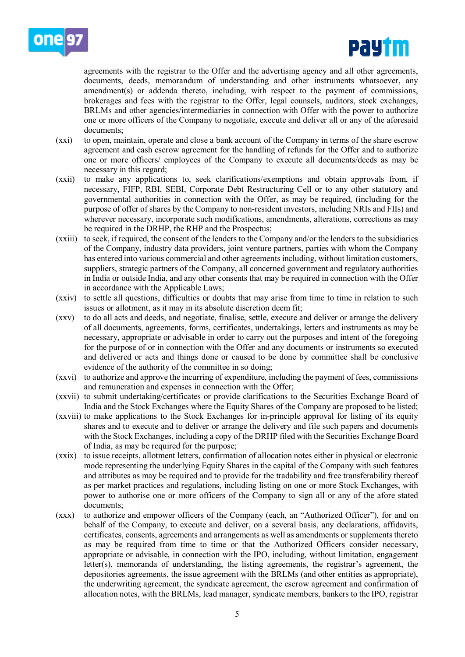



agreements with the registrar to the Offer and the advertising agency and all other agreements, documents, deeds, memorandum of understanding and other instruments whatsoever, any amendment(s) or addenda thereto, including, with respect to the payment of commissions, brokerages and fees with the registrar to the Offer, legal counsels, auditors, stock exchanges, BRLMs and other agencies/intermediaries in connection with Offer with the power to authorize one or more officers of the Company to negotiate, execute and deliver all or any of the aforesaid documents;

- (xxi) to open, maintain, operate and close a bank account of the Company in terms of the share escrow agreement and cash escrow agreement for the handling of refunds for the Offer and to authorize one or more officers/ employees of the Company to execute all documents/deeds as may be necessary in this regard;
- (xxii) to make any applications to, seek clarifications/exemptions and obtain approvals from, if necessary, FIFP, RBI, SEBI, Corporate Debt Restructuring Cell or to any other statutory and governmental authorities in connection with the Offer, as may be required, (including for the purpose of offer of shares by the Company to non-resident investors, including NRIs and FIIs) and wherever necessary, incorporate such modifications, amendments, alterations, corrections as may be required in the DRHP, the RHP and the Prospectus;
- (xxiii) to seek, if required, the consent of the lenders to the Company and/or the lenders to the subsidiaries of the Company, industry data providers, joint venture partners, parties with whom the Company has entered into various commercial and other agreements including, without limitation customers, suppliers, strategic partners of the Company, all concerned government and regulatory authorities in India or outside India, and any other consents that may be required in connection with the Offer in accordance with the Applicable Laws;
- (xxiv) to settle all questions, difficulties or doubts that may arise from time to time in relation to such issues or allotment, as it may in its absolute discretion deem fit;
- (xxv) to do all acts and deeds, and negotiate, finalise, settle, execute and deliver or arrange the delivery of all documents, agreements, forms, certificates, undertakings, letters and instruments as may be necessary, appropriate or advisable in order to carry out the purposes and intent of the foregoing for the purpose of or in connection with the Offer and any documents or instruments so executed and delivered or acts and things done or caused to be done by committee shall be conclusive evidence of the authority of the committee in so doing;
- (xxvi) to authorize and approve the incurring of expenditure, including the payment of fees, commissions and remuneration and expenses in connection with the Offer;
- (xxvii) to submit undertaking/certificates or provide clarifications to the Securities Exchange Board of India and the Stock Exchanges where the Equity Shares of the Company are proposed to be listed;
- (xxviii) to make applications to the Stock Exchanges for in-principle approval for listing of its equity shares and to execute and to deliver or arrange the delivery and file such papers and documents with the Stock Exchanges, including a copy of the DRHP filed with the Securities Exchange Board of India, as may be required for the purpose;
- (xxix) to issue receipts, allotment letters, confirmation of allocation notes either in physical or electronic mode representing the underlying Equity Shares in the capital of the Company with such features and attributes as may be required and to provide for the tradability and free transferability thereof as per market practices and regulations, including listing on one or more Stock Exchanges, with power to authorise one or more officers of the Company to sign all or any of the afore stated documents;
- (xxx) to authorize and empower officers of the Company (each, an "Authorized Officer"), for and on behalf of the Company, to execute and deliver, on a several basis, any declarations, affidavits, certificates, consents, agreements and arrangements as well as amendments or supplements thereto as may be required from time to time or that the Authorized Officers consider necessary, appropriate or advisable, in connection with the IPO, including, without limitation, engagement letter(s), memoranda of understanding, the listing agreements, the registrar's agreement, the depositories agreements, the issue agreement with the BRLMs (and other entities as appropriate), the underwriting agreement, the syndicate agreement, the escrow agreement and confirmation of allocation notes, with the BRLMs, lead manager, syndicate members, bankers to the IPO, registrar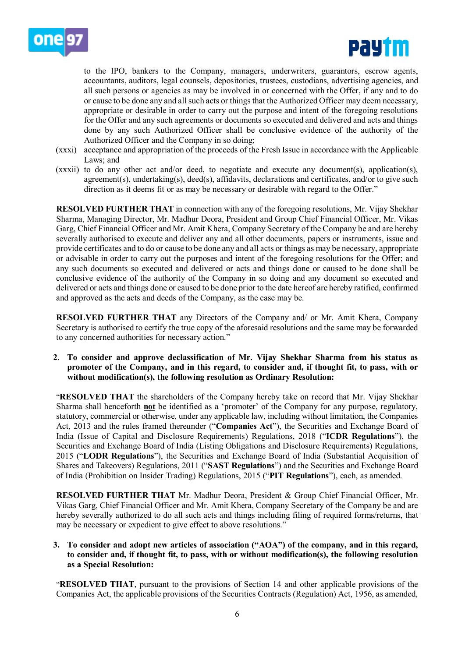



to the IPO, bankers to the Company, managers, underwriters, guarantors, escrow agents, accountants, auditors, legal counsels, depositories, trustees, custodians, advertising agencies, and all such persons or agencies as may be involved in or concerned with the Offer, if any and to do or cause to be done any and all such acts or things that the Authorized Officer may deem necessary, appropriate or desirable in order to carry out the purpose and intent of the foregoing resolutions for the Offer and any such agreements or documents so executed and delivered and acts and things done by any such Authorized Officer shall be conclusive evidence of the authority of the Authorized Officer and the Company in so doing;

- (xxxi) acceptance and appropriation of the proceeds of the Fresh Issue in accordance with the Applicable Laws; and
- (xxxii) to do any other act and/or deed, to negotiate and execute any document(s), application(s), agreement(s), undertaking(s), deed(s), affidavits, declarations and certificates, and/or to give such direction as it deems fit or as may be necessary or desirable with regard to the Offer."

**RESOLVED FURTHER THAT** in connection with any of the foregoing resolutions, Mr. Vijay Shekhar Sharma, Managing Director, Mr. Madhur Deora, President and Group Chief Financial Officer, Mr. Vikas Garg, Chief Financial Officer and Mr. Amit Khera, Company Secretary of the Company be and are hereby severally authorised to execute and deliver any and all other documents, papers or instruments, issue and provide certificates and to do or cause to be done any and all acts or things as may be necessary, appropriate or advisable in order to carry out the purposes and intent of the foregoing resolutions for the Offer; and any such documents so executed and delivered or acts and things done or caused to be done shall be conclusive evidence of the authority of the Company in so doing and any document so executed and delivered or acts and things done or caused to be done prior to the date hereof are hereby ratified, confirmed and approved as the acts and deeds of the Company, as the case may be.

**RESOLVED FURTHER THAT** any Directors of the Company and/ or Mr. Amit Khera, Company Secretary is authorised to certify the true copy of the aforesaid resolutions and the same may be forwarded to any concerned authorities for necessary action."

**2. To consider and approve declassification of Mr. Vijay Shekhar Sharma from his status as promoter of the Company, and in this regard, to consider and, if thought fit, to pass, with or without modification(s), the following resolution as Ordinary Resolution:**

"**RESOLVED THAT** the shareholders of the Company hereby take on record that Mr. Vijay Shekhar Sharma shall henceforth **not** be identified as a 'promoter' of the Company for any purpose, regulatory, statutory, commercial or otherwise, under any applicable law, including without limitation, the Companies Act, 2013 and the rules framed thereunder ("**Companies Act**"), the Securities and Exchange Board of India (Issue of Capital and Disclosure Requirements) Regulations, 2018 ("**ICDR Regulations**"), the Securities and Exchange Board of India (Listing Obligations and Disclosure Requirements) Regulations, 2015 ("**LODR Regulations**"), the Securities and Exchange Board of India (Substantial Acquisition of Shares and Takeovers) Regulations, 2011 ("**SAST Regulations**") and the Securities and Exchange Board of India (Prohibition on Insider Trading) Regulations, 2015 ("**PIT Regulations**"), each, as amended.

**RESOLVED FURTHER THAT** Mr. Madhur Deora, President & Group Chief Financial Officer, Mr. Vikas Garg, Chief Financial Officer and Mr. Amit Khera, Company Secretary of the Company be and are hereby severally authorized to do all such acts and things including filing of required forms/returns, that may be necessary or expedient to give effect to above resolutions."

**3. To consider and adopt new articles of association ("AOA") of the company, and in this regard, to consider and, if thought fit, to pass, with or without modification(s), the following resolution as a Special Resolution:**

"**RESOLVED THAT**, pursuant to the provisions of Section 14 and other applicable provisions of the Companies Act, the applicable provisions of the Securities Contracts (Regulation) Act, 1956, as amended,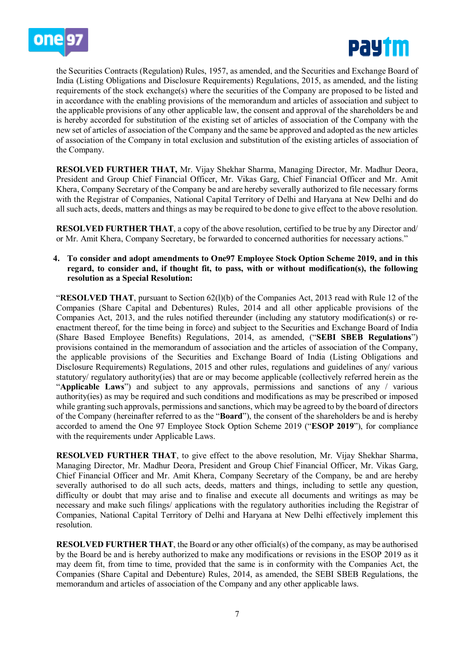



the Securities Contracts (Regulation) Rules, 1957, as amended, and the Securities and Exchange Board of India (Listing Obligations and Disclosure Requirements) Regulations, 2015, as amended, and the listing requirements of the stock exchange(s) where the securities of the Company are proposed to be listed and in accordance with the enabling provisions of the memorandum and articles of association and subject to the applicable provisions of any other applicable law, the consent and approval of the shareholders be and is hereby accorded for substitution of the existing set of articles of association of the Company with the new set of articles of association of the Company and the same be approved and adopted as the new articles of association of the Company in total exclusion and substitution of the existing articles of association of the Company.

**RESOLVED FURTHER THAT,** Mr. Vijay Shekhar Sharma, Managing Director, Mr. Madhur Deora, President and Group Chief Financial Officer, Mr. Vikas Garg, Chief Financial Officer and Mr. Amit Khera, Company Secretary of the Company be and are hereby severally authorized to file necessary forms with the Registrar of Companies, National Capital Territory of Delhi and Haryana at New Delhi and do all such acts, deeds, matters and things as may be required to be done to give effect to the above resolution.

**RESOLVED FURTHER THAT**, a copy of the above resolution, certified to be true by any Director and/ or Mr. Amit Khera, Company Secretary, be forwarded to concerned authorities for necessary actions."

#### **4. To consider and adopt amendments to One97 Employee Stock Option Scheme 2019, and in this regard, to consider and, if thought fit, to pass, with or without modification(s), the following resolution as a Special Resolution:**

"**RESOLVED THAT**, pursuant to Section 62(l)(b) of the Companies Act, 2013 read with Rule 12 of the Companies (Share Capital and Debentures) Rules, 2014 and all other applicable provisions of the Companies Act, 2013, and the rules notified thereunder (including any statutory modification(s) or reenactment thereof, for the time being in force) and subject to the Securities and Exchange Board of India (Share Based Employee Benefits) Regulations, 2014, as amended, ("**SEBI SBEB Regulations**") provisions contained in the memorandum of association and the articles of association of the Company, the applicable provisions of the Securities and Exchange Board of India (Listing Obligations and Disclosure Requirements) Regulations, 2015 and other rules, regulations and guidelines of any/ various statutory/ regulatory authority(ies) that are or may become applicable (collectively referred herein as the "**Applicable Laws**") and subject to any approvals, permissions and sanctions of any / various authority(ies) as may be required and such conditions and modifications as may be prescribed or imposed while granting such approvals, permissions and sanctions, which may be agreed to by the board of directors of the Company (hereinafter referred to as the "**Board**"), the consent of the shareholders be and is hereby accorded to amend the One 97 Employee Stock Option Scheme 2019 ("**ESOP 2019**"), for compliance with the requirements under Applicable Laws.

**RESOLVED FURTHER THAT**, to give effect to the above resolution, Mr. Vijay Shekhar Sharma, Managing Director, Mr. Madhur Deora, President and Group Chief Financial Officer, Mr. Vikas Garg, Chief Financial Officer and Mr. Amit Khera, Company Secretary of the Company, be and are hereby severally authorised to do all such acts, deeds, matters and things, including to settle any question, difficulty or doubt that may arise and to finalise and execute all documents and writings as may be necessary and make such filings/ applications with the regulatory authorities including the Registrar of Companies, National Capital Territory of Delhi and Haryana at New Delhi effectively implement this resolution.

**RESOLVED FURTHER THAT**, the Board or any other official(s) of the company, as may be authorised by the Board be and is hereby authorized to make any modifications or revisions in the ESOP 2019 as it may deem fit, from time to time, provided that the same is in conformity with the Companies Act, the Companies (Share Capital and Debenture) Rules, 2014, as amended, the SEBI SBEB Regulations, the memorandum and articles of association of the Company and any other applicable laws.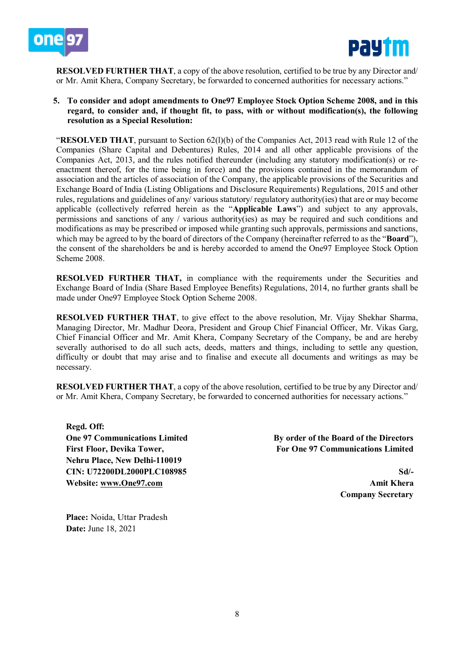



**RESOLVED FURTHER THAT**, a copy of the above resolution, certified to be true by any Director and/ or Mr. Amit Khera, Company Secretary, be forwarded to concerned authorities for necessary actions."

**5. To consider and adopt amendments to One97 Employee Stock Option Scheme 2008, and in this regard, to consider and, if thought fit, to pass, with or without modification(s), the following resolution as a Special Resolution:**

"**RESOLVED THAT**, pursuant to Section 62(l)(b) of the Companies Act, 2013 read with Rule 12 of the Companies (Share Capital and Debentures) Rules, 2014 and all other applicable provisions of the Companies Act, 2013, and the rules notified thereunder (including any statutory modification(s) or reenactment thereof, for the time being in force) and the provisions contained in the memorandum of association and the articles of association of the Company, the applicable provisions of the Securities and Exchange Board of India (Listing Obligations and Disclosure Requirements) Regulations, 2015 and other rules, regulations and guidelines of any/ various statutory/ regulatory authority(ies) that are or may become applicable (collectively referred herein as the "**Applicable Laws**") and subject to any approvals, permissions and sanctions of any / various authority(ies) as may be required and such conditions and modifications as may be prescribed or imposed while granting such approvals, permissions and sanctions, which may be agreed to by the board of directors of the Company (hereinafter referred to as the "**Board**"), the consent of the shareholders be and is hereby accorded to amend the One97 Employee Stock Option Scheme 2008.

**RESOLVED FURTHER THAT, in compliance with the requirements under the Securities and** Exchange Board of India (Share Based Employee Benefits) Regulations, 2014, no further grants shall be made under One97 Employee Stock Option Scheme 2008.

**RESOLVED FURTHER THAT**, to give effect to the above resolution, Mr. Vijay Shekhar Sharma, Managing Director, Mr. Madhur Deora, President and Group Chief Financial Officer, Mr. Vikas Garg, Chief Financial Officer and Mr. Amit Khera, Company Secretary of the Company, be and are hereby severally authorised to do all such acts, deeds, matters and things, including to settle any question, difficulty or doubt that may arise and to finalise and execute all documents and writings as may be necessary.

**RESOLVED FURTHER THAT**, a copy of the above resolution, certified to be true by any Director and/ or Mr. Amit Khera, Company Secretary, be forwarded to concerned authorities for necessary actions."

**Regd. Off: One 97 Communications Limited First Floor, Devika Tower, Nehru Place, New Delhi-110019 CIN: U72200DL2000PLC108985 Website: [www.One97.com](http://www.one97.com/)**

**By order of the Board of the Directors For One 97 Communications Limited**

> **Sd/- Amit Khera Company Secretary**

**Place:** Noida, Uttar Pradesh **Date:** June 18, 2021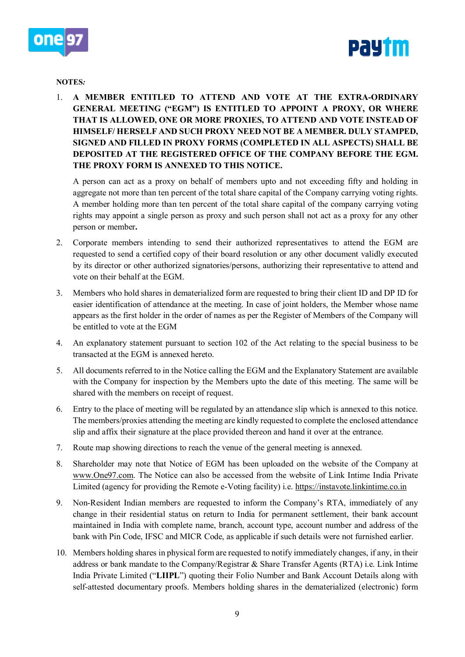



### **NOTES***:*

1. **A MEMBER ENTITLED TO ATTEND AND VOTE AT THE EXTRA-ORDINARY GENERAL MEETING ("EGM") IS ENTITLED TO APPOINT A PROXY, OR WHERE THAT IS ALLOWED, ONE OR MORE PROXIES, TO ATTEND AND VOTE INSTEAD OF HIMSELF/ HERSELF AND SUCH PROXY NEED NOT BE A MEMBER. DULY STAMPED, SIGNED AND FILLED IN PROXY FORMS (COMPLETED IN ALL ASPECTS) SHALL BE DEPOSITED AT THE REGISTERED OFFICE OF THE COMPANY BEFORE THE EGM. THE PROXY FORM IS ANNEXED TO THIS NOTICE.**

A person can act as a proxy on behalf of members upto and not exceeding fifty and holding in aggregate not more than ten percent of the total share capital of the Company carrying voting rights. A member holding more than ten percent of the total share capital of the company carrying voting rights may appoint a single person as proxy and such person shall not act as a proxy for any other person or member**.**

- 2. Corporate members intending to send their authorized representatives to attend the EGM are requested to send a certified copy of their board resolution or any other document validly executed by its director or other authorized signatories/persons, authorizing their representative to attend and vote on their behalf at the EGM.
- 3. Members who hold shares in dematerialized form are requested to bring their client ID and DP ID for easier identification of attendance at the meeting. In case of joint holders, the Member whose name appears as the first holder in the order of names as per the Register of Members of the Company will be entitled to vote at the EGM
- 4. An explanatory statement pursuant to section 102 of the Act relating to the special business to be transacted at the EGM is annexed hereto.
- 5. All documents referred to in the Notice calling the EGM and the Explanatory Statement are available with the Company for inspection by the Members upto the date of this meeting. The same will be shared with the members on receipt of request.
- 6. Entry to the place of meeting will be regulated by an attendance slip which is annexed to this notice. The members/proxies attending the meeting are kindly requested to complete the enclosed attendance slip and affix their signature at the place provided thereon and hand it over at the entrance.
- 7. Route map showing directions to reach the venue of the general meeting is annexed.
- 8. Shareholder may note that Notice of EGM has been uploaded on the website of the Company at [www.One97.com.](http://www.one97.com/) The Notice can also be accessed from the website of Link Intime India Private Limited (agency for providing the Remote e-Voting facility) i.e. [https://instavote.linkintime.co.in](https://instavote.linkintime.co.in/)
- 9. Non-Resident Indian members are requested to inform the Company's RTA, immediately of any change in their residential status on return to India for permanent settlement, their bank account maintained in India with complete name, branch, account type, account number and address of the bank with Pin Code, IFSC and MICR Code, as applicable if such details were not furnished earlier.
- 10. Members holding shares in physical form are requested to notify immediately changes, if any, in their address or bank mandate to the Company/Registrar & Share Transfer Agents (RTA) i.e. Link Intime India Private Limited ("**LIIPL**") quoting their Folio Number and Bank Account Details along with self-attested documentary proofs. Members holding shares in the dematerialized (electronic) form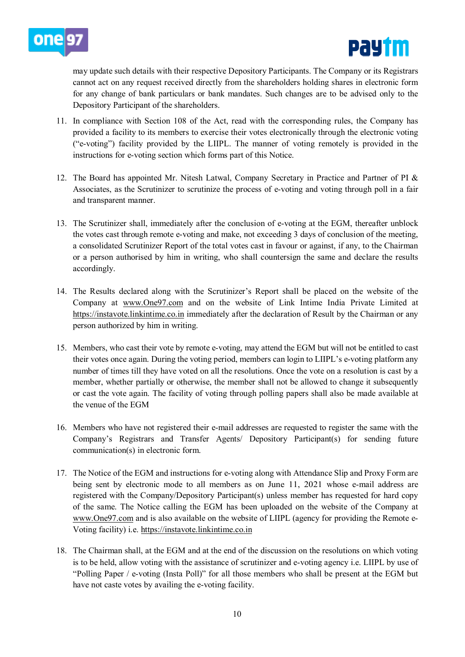



may update such details with their respective Depository Participants. The Company or its Registrars cannot act on any request received directly from the shareholders holding shares in electronic form for any change of bank particulars or bank mandates. Such changes are to be advised only to the Depository Participant of the shareholders.

- 11. In compliance with Section 108 of the Act, read with the corresponding rules, the Company has provided a facility to its members to exercise their votes electronically through the electronic voting ("e-voting") facility provided by the LIIPL. The manner of voting remotely is provided in the instructions for e-voting section which forms part of this Notice.
- 12. The Board has appointed Mr. Nitesh Latwal, Company Secretary in Practice and Partner of PI & Associates, as the Scrutinizer to scrutinize the process of e-voting and voting through poll in a fair and transparent manner.
- 13. The Scrutinizer shall, immediately after the conclusion of e-voting at the EGM, thereafter unblock the votes cast through remote e-voting and make, not exceeding 3 days of conclusion of the meeting, a consolidated Scrutinizer Report of the total votes cast in favour or against, if any, to the Chairman or a person authorised by him in writing, who shall countersign the same and declare the results accordingly.
- 14. The Results declared along with the Scrutinizer's Report shall be placed on the website of the Company at [www.One97.com](http://www.one97.com/) and on the website of Link Intime India Private Limited at [https://instavote.linkintime.co.in](https://instavote.linkintime.co.in/) immediately after the declaration of Result by the Chairman or any person authorized by him in writing.
- 15. Members, who cast their vote by remote e-voting, may attend the EGM but will not be entitled to cast their votes once again. During the voting period, members can login to LIIPL's e-voting platform any number of times till they have voted on all the resolutions. Once the vote on a resolution is cast by a member, whether partially or otherwise, the member shall not be allowed to change it subsequently or cast the vote again. The facility of voting through polling papers shall also be made available at the venue of the EGM
- 16. Members who have not registered their e-mail addresses are requested to register the same with the Company's Registrars and Transfer Agents/ Depository Participant(s) for sending future communication(s) in electronic form.
- 17. The Notice of the EGM and instructions for e-voting along with Attendance Slip and Proxy Form are being sent by electronic mode to all members as on June 11, 2021 whose e-mail address are registered with the Company/Depository Participant(s) unless member has requested for hard copy of the same. The Notice calling the EGM has been uploaded on the website of the Company at [www.One97.com](http://www.one97.com/) and is also available on the website of LIIPL (agency for providing the Remote e-Voting facility) i.e. [https://instavote.linkintime.co.in](https://instavote.linkintime.co.in/)
- 18. The Chairman shall, at the EGM and at the end of the discussion on the resolutions on which voting is to be held, allow voting with the assistance of scrutinizer and e-voting agency i.e. LIIPL by use of "Polling Paper / e-voting (Insta Poll)" for all those members who shall be present at the EGM but have not caste votes by availing the e-voting facility.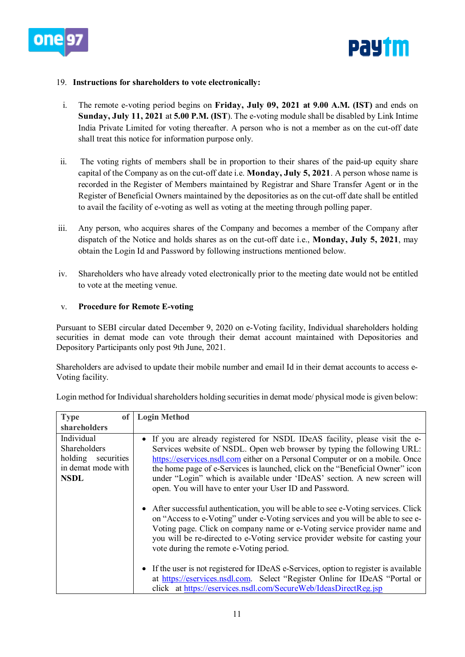



### 19. **Instructions for shareholders to vote electronically:**

- i. The remote e-voting period begins on **Friday, July 09, 2021 at 9.00 A.M. (IST)** and ends on **Sunday, July 11, 2021** at **5.00 P.M. (IST**). The e-voting module shall be disabled by Link Intime India Private Limited for voting thereafter. A person who is not a member as on the cut-off date shall treat this notice for information purpose only.
- ii. The voting rights of members shall be in proportion to their shares of the paid-up equity share capital of the Company as on the cut-off date i.e. **Monday, July 5, 2021**. A person whose name is recorded in the Register of Members maintained by Registrar and Share Transfer Agent or in the Register of Beneficial Owners maintained by the depositories as on the cut-off date shall be entitled to avail the facility of e-voting as well as voting at the meeting through polling paper.
- iii. Any person, who acquires shares of the Company and becomes a member of the Company after dispatch of the Notice and holds shares as on the cut-off date i.e., **Monday, July 5, 2021**, may obtain the Login Id and Password by following instructions mentioned below.
- iv. Shareholders who have already voted electronically prior to the meeting date would not be entitled to vote at the meeting venue.

### v. **Procedure for Remote E-voting**

Pursuant to SEBI circular dated December 9, 2020 on e-Voting facility, Individual shareholders holding securities in demat mode can vote through their demat account maintained with Depositories and Depository Participants only post 9th June, 2021.

Shareholders are advised to update their mobile number and email Id in their demat accounts to access e-Voting facility.

| <b>Type</b><br>of <sub>1</sub>                                                           | <b>Login Method</b>                                                                                                                                                                                                                                                                                                                                                                                                                                               |
|------------------------------------------------------------------------------------------|-------------------------------------------------------------------------------------------------------------------------------------------------------------------------------------------------------------------------------------------------------------------------------------------------------------------------------------------------------------------------------------------------------------------------------------------------------------------|
| shareholders                                                                             |                                                                                                                                                                                                                                                                                                                                                                                                                                                                   |
| Individual<br>Shareholders<br>holding<br>securities<br>in demat mode with<br><b>NSDL</b> | • If you are already registered for NSDL IDeAS facility, please visit the e-<br>Services website of NSDL. Open web browser by typing the following URL:<br>https://eservices.nsdl.com either on a Personal Computer or on a mobile. Once<br>the home page of e-Services is launched, click on the "Beneficial Owner" icon<br>under "Login" which is available under 'IDeAS' section. A new screen will<br>open. You will have to enter your User ID and Password. |
|                                                                                          | • After successful authentication, you will be able to see e-Voting services. Click<br>on "Access to e-Voting" under e-Voting services and you will be able to see e-<br>Voting page. Click on company name or e-Voting service provider name and<br>you will be re-directed to e-Voting service provider website for casting your<br>vote during the remote e-Voting period.                                                                                     |
|                                                                                          | • If the user is not registered for IDeAS e-Services, option to register is available<br>at https://eservices.nsdl.com. Select "Register Online for IDeAS "Portal or<br>click at https://eservices.nsdl.com/SecureWeb/IdeasDirectReg.jsp                                                                                                                                                                                                                          |

Login method for Individual shareholders holding securities in demat mode/ physical mode is given below: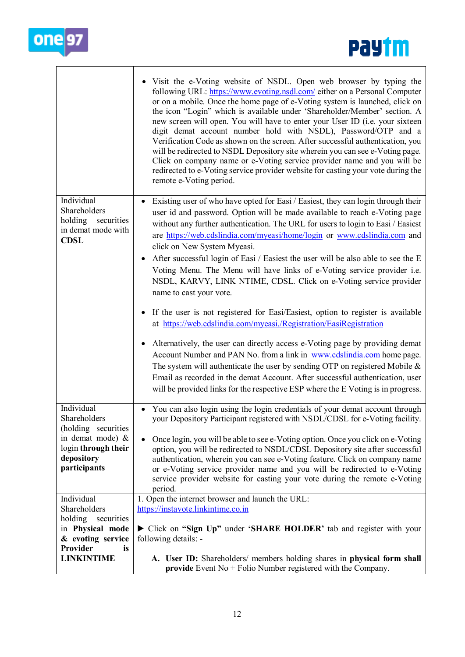



|                                                                                                                                     | Visit the e-Voting website of NSDL. Open web browser by typing the<br>following URL: https://www.evoting.nsdl.com/ either on a Personal Computer<br>or on a mobile. Once the home page of e-Voting system is launched, click on<br>the icon "Login" which is available under 'Shareholder/Member' section. A<br>new screen will open. You will have to enter your User ID (i.e. your sixteen<br>digit demat account number hold with NSDL), Password/OTP and a<br>Verification Code as shown on the screen. After successful authentication, you<br>will be redirected to NSDL Depository site wherein you can see e-Voting page.<br>Click on company name or e-Voting service provider name and you will be<br>redirected to e-Voting service provider website for casting your vote during the<br>remote e-Voting period. |
|-------------------------------------------------------------------------------------------------------------------------------------|-----------------------------------------------------------------------------------------------------------------------------------------------------------------------------------------------------------------------------------------------------------------------------------------------------------------------------------------------------------------------------------------------------------------------------------------------------------------------------------------------------------------------------------------------------------------------------------------------------------------------------------------------------------------------------------------------------------------------------------------------------------------------------------------------------------------------------|
| Individual<br>Shareholders<br>securities<br>holding<br>in demat mode with<br><b>CDSL</b>                                            | Existing user of who have opted for Easi / Easiest, they can login through their<br>user id and password. Option will be made available to reach e-Voting page<br>without any further authentication. The URL for users to login to Easi / Easiest<br>are https://web.cdslindia.com/myeasi/home/login or www.cdslindia.com and<br>click on New System Myeasi.<br>After successful login of Easi / Easiest the user will be also able to see the E<br>Voting Menu. The Menu will have links of e-Voting service provider i.e.<br>NSDL, KARVY, LINK NTIME, CDSL. Click on e-Voting service provider<br>name to cast your vote.                                                                                                                                                                                                |
|                                                                                                                                     | If the user is not registered for Easi/Easiest, option to register is available<br>at https://web.cdslindia.com/myeasi./Registration/EasiRegistration<br>Alternatively, the user can directly access e-Voting page by providing demat<br>$\bullet$<br>Account Number and PAN No. from a link in www.cdslindia.com home page.<br>The system will authenticate the user by sending OTP on registered Mobile $\&$<br>Email as recorded in the demat Account. After successful authentication, user<br>will be provided links for the respective ESP where the E Voting is in progress.                                                                                                                                                                                                                                         |
| Individual<br>Shareholders<br>(holding securities<br>in demat mode) &<br>login through their<br>depository<br>participants          | • You can also login using the login credentials of your demat account through<br>your Depository Participant registered with NSDL/CDSL for e-Voting facility.<br>Once login, you will be able to see e-Voting option. Once you click on e-Voting<br>option, you will be redirected to NSDL/CDSL Depository site after successful<br>authentication, wherein you can see e-Voting feature. Click on company name<br>or e-Voting service provider name and you will be redirected to e-Voting<br>service provider website for casting your vote during the remote e-Voting<br>period.                                                                                                                                                                                                                                        |
| Individual<br>Shareholders<br>holding<br>securities<br>in Physical mode<br>& evoting service<br>Provider<br>is<br><b>LINKINTIME</b> | 1. Open the internet browser and launch the URL:<br>https://instavote.linkintime.co.in<br>Click on "Sign Up" under 'SHARE HOLDER' tab and register with your<br>following details: -<br>A. User ID: Shareholders/ members holding shares in physical form shall<br><b>provide</b> Event No $+$ Folio Number registered with the Company.                                                                                                                                                                                                                                                                                                                                                                                                                                                                                    |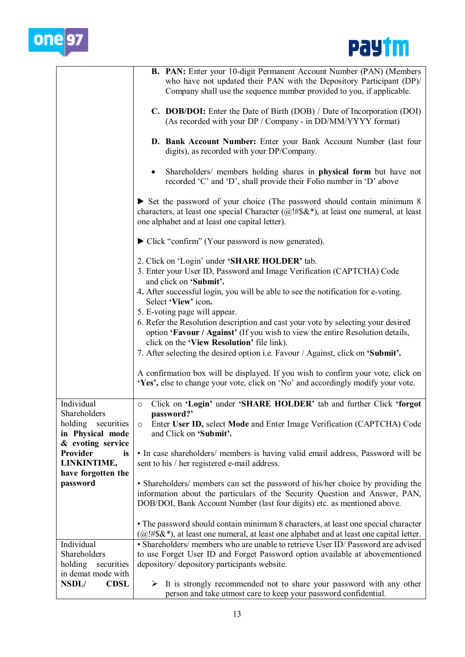



|                                                                             | B. PAN: Enter your 10-digit Permanent Account Number (PAN) (Members<br>who have not updated their PAN with the Depository Participant (DP)/<br>Company shall use the sequence number provided to you, if applicable.                             |
|-----------------------------------------------------------------------------|--------------------------------------------------------------------------------------------------------------------------------------------------------------------------------------------------------------------------------------------------|
|                                                                             | C. DOB/DOI: Enter the Date of Birth (DOB) / Date of Incorporation (DOI)<br>(As recorded with your DP / Company - in DD/MM/YYYY format)                                                                                                           |
|                                                                             | D. Bank Account Number: Enter your Bank Account Number (last four<br>digits), as recorded with your DP/Company.                                                                                                                                  |
|                                                                             | Shareholders/ members holding shares in physical form but have not<br>$\bullet$<br>recorded 'C' and 'D', shall provide their Folio number in 'D' above                                                                                           |
|                                                                             | $\triangleright$ Set the password of your choice (The password should contain minimum 8<br>characters, at least one special Character (@!#\$&*), at least one numeral, at least<br>one alphabet and at least one capital letter).                |
|                                                                             | Click "confirm" (Your password is now generated).                                                                                                                                                                                                |
|                                                                             | 2. Click on 'Login' under 'SHARE HOLDER' tab.<br>3. Enter your User ID, Password and Image Verification (CAPTCHA) Code<br>and click on 'Submit'.                                                                                                 |
|                                                                             | 4. After successful login, you will be able to see the notification for e-voting.<br>Select 'View' icon.                                                                                                                                         |
|                                                                             | 5. E-voting page will appear.<br>6. Refer the Resolution description and cast your vote by selecting your desired<br>option 'Favour / Against' (If you wish to view the entire Resolution details,<br>click on the 'View Resolution' file link). |
|                                                                             | 7. After selecting the desired option i.e. Favour / Against, click on 'Submit'.                                                                                                                                                                  |
|                                                                             | A confirmation box will be displayed. If you wish to confirm your vote, click on<br>'Yes', else to change your vote, click on 'No' and accordingly modify your vote.                                                                             |
| Individual                                                                  | Click on 'Login' under 'SHARE HOLDER' tab and further Click 'forgot<br>$\circ$                                                                                                                                                                   |
| Shareholders<br>holding securities<br>in Physical mode<br>& evoting service | password?'<br>Enter User ID, select Mode and Enter Image Verification (CAPTCHA) Code<br>$\circ$<br>and Click on 'Submit'.                                                                                                                        |
| Provider<br>is<br>LINKINTIME,<br>have forgotten the                         | • In case shareholders/ members is having valid email address, Password will be<br>sent to his / her registered e-mail address.                                                                                                                  |
| password                                                                    | • Shareholders/ members can set the password of his/her choice by providing the<br>information about the particulars of the Security Question and Answer, PAN,<br>DOB/DOI, Bank Account Number (last four digits) etc. as mentioned above.       |
|                                                                             | • The password should contain minimum 8 characters, at least one special character<br>$(Q! \# \$\&*)$ , at least one numeral, at least one alphabet and at least one capital letter.                                                             |
| Individual                                                                  | • Shareholders/ members who are unable to retrieve User ID/ Password are advised                                                                                                                                                                 |
| Shareholders<br>holding<br>securities                                       | to use Forget User ID and Forget Password option available at abovementioned<br>depository/ depository participants website.                                                                                                                     |
| in demat mode with<br>NSDL/<br><b>CDSL</b>                                  | It is strongly recommended not to share your password with any other<br>➤                                                                                                                                                                        |
|                                                                             | person and take utmost care to keep your password confidential.                                                                                                                                                                                  |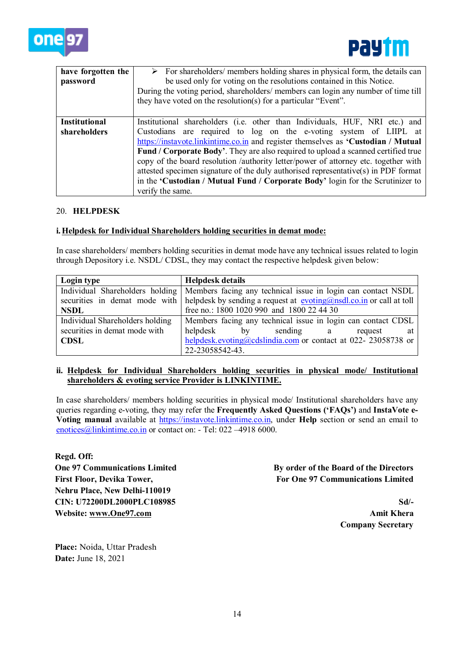



| have forgotten the<br>password       | $\triangleright$ For shareholders/ members holding shares in physical form, the details can<br>be used only for voting on the resolutions contained in this Notice.<br>During the voting period, shareholders/members can login any number of time till<br>they have voted on the resolution(s) for a particular "Event".                                                                                                                                                                                                                                                                                     |
|--------------------------------------|---------------------------------------------------------------------------------------------------------------------------------------------------------------------------------------------------------------------------------------------------------------------------------------------------------------------------------------------------------------------------------------------------------------------------------------------------------------------------------------------------------------------------------------------------------------------------------------------------------------|
| <b>Institutional</b><br>shareholders | Institutional shareholders (i.e. other than Individuals, HUF, NRI etc.) and<br>Custodians are required to log on the e-voting system of LIIPL at<br>https://instavote.linkintime.co.in and register themselves as 'Custodian / Mutual<br>Fund / Corporate Body'. They are also required to upload a scanned certified true<br>copy of the board resolution /authority letter/power of attorney etc. together with<br>attested specimen signature of the duly authorised representative(s) in PDF format<br>in the 'Custodian / Mutual Fund / Corporate Body' login for the Scrutinizer to<br>verify the same. |

### 20. **HELPDESK**

### **i.Helpdesk for Individual Shareholders holding securities in demat mode:**

In case shareholders/ members holding securities in demat mode have any technical issues related to login through Depository i.e. NSDL/ CDSL, they may contact the respective helpdesk given below:

| Login type                      | <b>Helpdesk details</b>                                                                                                                           |  |
|---------------------------------|---------------------------------------------------------------------------------------------------------------------------------------------------|--|
|                                 | Individual Shareholders holding   Members facing any technical issue in login can contact NSDL                                                    |  |
|                                 | securities in demat mode with   helpdesk by sending a request at $\frac{evoting(\omega) \cdot \text{mod1} \cdot \text{co.in}}{w}$ or call at toll |  |
| <b>NSDL</b>                     | free no.: 1800 1020 990 and 1800 22 44 30                                                                                                         |  |
| Individual Shareholders holding | Members facing any technical issue in login can contact CDSL                                                                                      |  |
| securities in demat mode with   | helpdesk<br>$\mathbf{b} \mathbf{v}$<br>sending a<br>at<br>request                                                                                 |  |
| <b>CDSL</b>                     | helpdesk.evoting@cdslindia.com or contact at 022- 23058738 or                                                                                     |  |
|                                 | 22-23058542-43.                                                                                                                                   |  |

### **ii. Helpdesk for Individual Shareholders holding securities in physical mode/ Institutional shareholders & evoting service Provider is LINKINTIME.**

In case shareholders/ members holding securities in physical mode/ Institutional shareholders have any queries regarding e-voting, they may refer the **Frequently Asked Questions ('FAQs')** and **InstaVote e-Voting manual** available at [https://instavote.linkintime.co.in,](https://instavote.linkintime.co.in/) under **Help** section or send an email to [enotices@linkintime.co.in](mailto:enotices@linkintime.co.in) or contact on: - Tel: 022 -4918 6000.

**Regd. Off: One 97 Communications Limited First Floor, Devika Tower, Nehru Place, New Delhi-110019 CIN: U72200DL2000PLC108985 Website: [www.One97.com](http://www.one97.com/)**

**By order of the Board of the Directors For One 97 Communications Limited**

> **Sd/- Amit Khera Company Secretary**

**Place:** Noida, Uttar Pradesh **Date:** June 18, 2021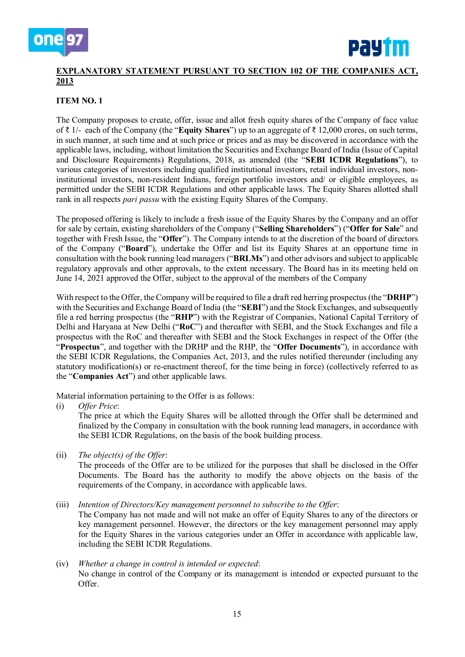



# **EXPLANATORY STATEMENT PURSUANT TO SECTION 102 OF THE COMPANIES ACT, 2013**

## **ITEM NO. 1**

The Company proposes to create, offer, issue and allot fresh equity shares of the Company of face value of ₹ 1/- each of the Company (the "**Equity Shares**") up to an aggregate of ₹ 12,000 crores, on such terms, in such manner, at such time and at such price or prices and as may be discovered in accordance with the applicable laws, including, without limitation the Securities and Exchange Board of India (Issue of Capital and Disclosure Requirements) Regulations, 2018, as amended (the "**SEBI ICDR Regulations**"), to various categories of investors including qualified institutional investors, retail individual investors, noninstitutional investors, non-resident Indians, foreign portfolio investors and/ or eligible employees, as permitted under the SEBI ICDR Regulations and other applicable laws. The Equity Shares allotted shall rank in all respects *pari passu* with the existing Equity Shares of the Company.

The proposed offering is likely to include a fresh issue of the Equity Shares by the Company and an offer for sale by certain, existing shareholders of the Company ("**Selling Shareholders**") ("**Offer for Sale**" and together with Fresh Issue, the "**Offer**"). The Company intends to at the discretion of the board of directors of the Company ("**Board**"), undertake the Offer and list its Equity Shares at an opportune time in consultation with the book running lead managers ("**BRLMs**") and other advisors and subject to applicable regulatory approvals and other approvals, to the extent necessary. The Board has in its meeting held on June 14, 2021 approved the Offer, subject to the approval of the members of the Company

With respect to the Offer, the Company will be required to file a draft red herring prospectus (the "**DRHP**") with the Securities and Exchange Board of India (the "**SEBI**") and the Stock Exchanges, and subsequently file a red herring prospectus (the "**RHP**") with the Registrar of Companies, National Capital Territory of Delhi and Haryana at New Delhi ("**RoC**") and thereafter with SEBI, and the Stock Exchanges and file a prospectus with the RoC and thereafter with SEBI and the Stock Exchanges in respect of the Offer (the "**Prospectus**", and together with the DRHP and the RHP, the "**Offer Documents**"), in accordance with the SEBI ICDR Regulations, the Companies Act, 2013, and the rules notified thereunder (including any statutory modification(s) or re-enactment thereof, for the time being in force) (collectively referred to as the "**Companies Act**") and other applicable laws.

Material information pertaining to the Offer is as follows:

(i) *Offer Price*:

The price at which the Equity Shares will be allotted through the Offer shall be determined and finalized by the Company in consultation with the book running lead managers, in accordance with the SEBI ICDR Regulations, on the basis of the book building process.

(ii) *The object(s) of the Offer*:

The proceeds of the Offer are to be utilized for the purposes that shall be disclosed in the Offer Documents. The Board has the authority to modify the above objects on the basis of the requirements of the Company, in accordance with applicable laws.

(iii) *Intention of Directors/Key management personnel to subscribe to the Offer*:

The Company has not made and will not make an offer of Equity Shares to any of the directors or key management personnel. However, the directors or the key management personnel may apply for the Equity Shares in the various categories under an Offer in accordance with applicable law, including the SEBI ICDR Regulations.

### (iv) *Whether a change in control is intended or expected*: No change in control of the Company or its management is intended or expected pursuant to the Offer.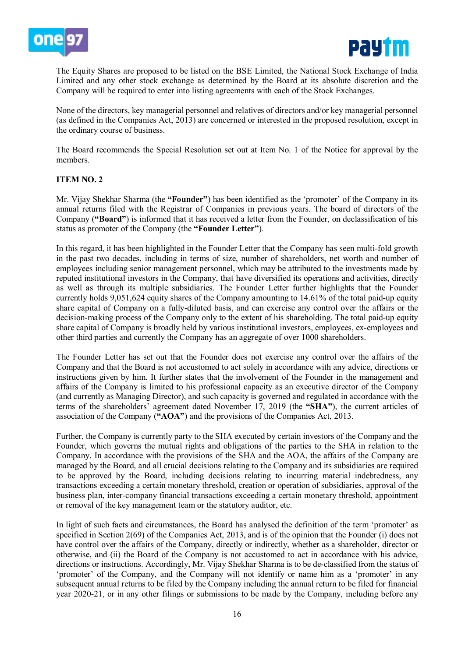



The Equity Shares are proposed to be listed on the BSE Limited, the National Stock Exchange of India Limited and any other stock exchange as determined by the Board at its absolute discretion and the Company will be required to enter into listing agreements with each of the Stock Exchanges.

None of the directors, key managerial personnel and relatives of directors and/or key managerial personnel (as defined in the Companies Act, 2013) are concerned or interested in the proposed resolution, except in the ordinary course of business.

The Board recommends the Special Resolution set out at Item No. 1 of the Notice for approval by the members.

### **ITEM NO. 2**

Mr. Vijay Shekhar Sharma (the **"Founder"**) has been identified as the 'promoter' of the Company in its annual returns filed with the Registrar of Companies in previous years. The board of directors of the Company (**"Board"**) is informed that it has received a letter from the Founder, on declassification of his status as promoter of the Company (the **"Founder Letter"**).

In this regard, it has been highlighted in the Founder Letter that the Company has seen multi-fold growth in the past two decades, including in terms of size, number of shareholders, net worth and number of employees including senior management personnel, which may be attributed to the investments made by reputed institutional investors in the Company, that have diversified its operations and activities, directly as well as through its multiple subsidiaries. The Founder Letter further highlights that the Founder currently holds 9,051,624 equity shares of the Company amounting to 14.61% of the total paid-up equity share capital of Company on a fully-diluted basis, and can exercise any control over the affairs or the decision-making process of the Company only to the extent of his shareholding. The total paid-up equity share capital of Company is broadly held by various institutional investors, employees, ex-employees and other third parties and currently the Company has an aggregate of over 1000 shareholders.

The Founder Letter has set out that the Founder does not exercise any control over the affairs of the Company and that the Board is not accustomed to act solely in accordance with any advice, directions or instructions given by him. It further states that the involvement of the Founder in the management and affairs of the Company is limited to his professional capacity as an executive director of the Company (and currently as Managing Director), and such capacity is governed and regulated in accordance with the terms of the shareholders' agreement dated November 17, 2019 (the **"SHA"**), the current articles of association of the Company (**"AOA"**) and the provisions of the Companies Act, 2013.

Further, the Company is currently party to the SHA executed by certain investors of the Company and the Founder, which governs the mutual rights and obligations of the parties to the SHA in relation to the Company. In accordance with the provisions of the SHA and the AOA, the affairs of the Company are managed by the Board, and all crucial decisions relating to the Company and its subsidiaries are required to be approved by the Board, including decisions relating to incurring material indebtedness, any transactions exceeding a certain monetary threshold, creation or operation of subsidiaries, approval of the business plan, inter-company financial transactions exceeding a certain monetary threshold, appointment or removal of the key management team or the statutory auditor, etc.

In light of such facts and circumstances, the Board has analysed the definition of the term 'promoter' as specified in Section 2(69) of the Companies Act, 2013, and is of the opinion that the Founder (i) does not have control over the affairs of the Company, directly or indirectly, whether as a shareholder, director or otherwise, and (ii) the Board of the Company is not accustomed to act in accordance with his advice, directions or instructions. Accordingly, Mr. Vijay Shekhar Sharma is to be de-classified from the status of 'promoter' of the Company, and the Company will not identify or name him as a 'promoter' in any subsequent annual returns to be filed by the Company including the annual return to be filed for financial year 2020-21, or in any other filings or submissions to be made by the Company, including before any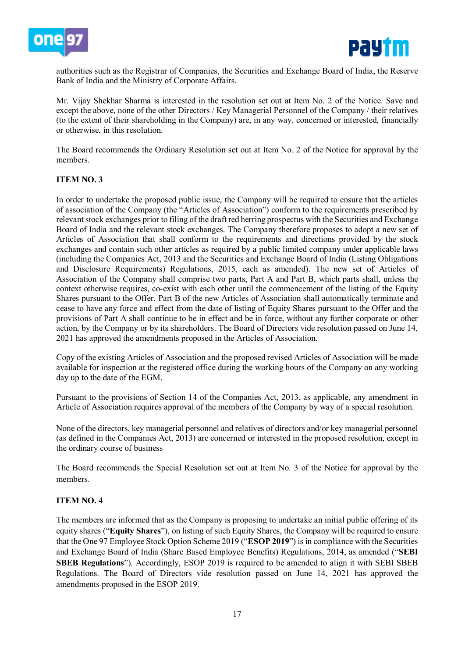



authorities such as the Registrar of Companies, the Securities and Exchange Board of India, the Reserve Bank of India and the Ministry of Corporate Affairs.

Mr. Vijay Shekhar Sharma is interested in the resolution set out at Item No. 2 of the Notice. Save and except the above, none of the other Directors / Key Managerial Personnel of the Company / their relatives (to the extent of their shareholding in the Company) are, in any way, concerned or interested, financially or otherwise, in this resolution.

The Board recommends the Ordinary Resolution set out at Item No. 2 of the Notice for approval by the members.

### **ITEM NO. 3**

In order to undertake the proposed public issue, the Company will be required to ensure that the articles of association of the Company (the "Articles of Association") conform to the requirements prescribed by relevant stock exchanges prior to filing of the draft red herring prospectus with the Securities and Exchange Board of India and the relevant stock exchanges. The Company therefore proposes to adopt a new set of Articles of Association that shall conform to the requirements and directions provided by the stock exchanges and contain such other articles as required by a public limited company under applicable laws (including the Companies Act, 2013 and the Securities and Exchange Board of India (Listing Obligations and Disclosure Requirements) Regulations, 2015, each as amended). The new set of Articles of Association of the Company shall comprise two parts, Part A and Part B, which parts shall, unless the context otherwise requires, co-exist with each other until the commencement of the listing of the Equity Shares pursuant to the Offer. Part B of the new Articles of Association shall automatically terminate and cease to have any force and effect from the date of listing of Equity Shares pursuant to the Offer and the provisions of Part A shall continue to be in effect and be in force, without any further corporate or other action, by the Company or by its shareholders. The Board of Directors vide resolution passed on June 14, 2021 has approved the amendments proposed in the Articles of Association.

Copy of the existing Articles of Association and the proposed revised Articles of Association will be made available for inspection at the registered office during the working hours of the Company on any working day up to the date of the EGM.

Pursuant to the provisions of Section 14 of the Companies Act, 2013, as applicable, any amendment in Article of Association requires approval of the members of the Company by way of a special resolution.

None of the directors, key managerial personnel and relatives of directors and/or key managerial personnel (as defined in the Companies Act, 2013) are concerned or interested in the proposed resolution, except in the ordinary course of business

The Board recommends the Special Resolution set out at Item No. 3 of the Notice for approval by the members.

### **ITEM NO. 4**

The members are informed that as the Company is proposing to undertake an initial public offering of its equity shares ("**Equity Shares**"), on listing of such Equity Shares, the Company will be required to ensure that the One 97 Employee Stock Option Scheme 2019 ("**ESOP 2019**") is in compliance with the Securities and Exchange Board of India (Share Based Employee Benefits) Regulations, 2014, as amended ("**SEBI SBEB Regulations**"). Accordingly, ESOP 2019 is required to be amended to align it with SEBI SBEB Regulations. The Board of Directors vide resolution passed on June 14, 2021 has approved the amendments proposed in the ESOP 2019.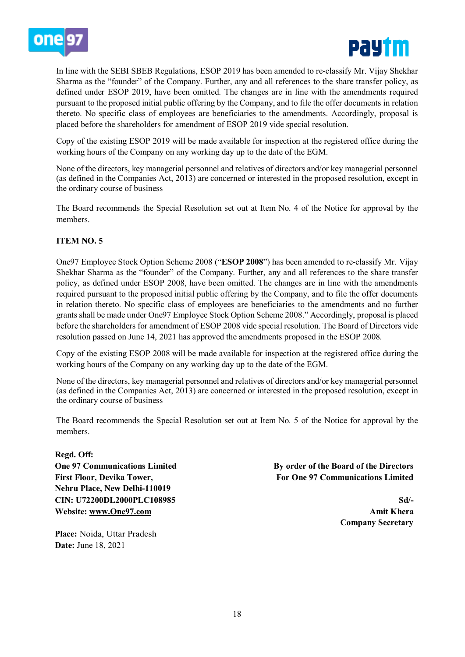



In line with the SEBI SBEB Regulations, ESOP 2019 has been amended to re-classify Mr. Vijay Shekhar Sharma as the "founder" of the Company. Further, any and all references to the share transfer policy, as defined under ESOP 2019, have been omitted. The changes are in line with the amendments required pursuant to the proposed initial public offering by the Company, and to file the offer documents in relation thereto. No specific class of employees are beneficiaries to the amendments. Accordingly, proposal is placed before the shareholders for amendment of ESOP 2019 vide special resolution.

Copy of the existing ESOP 2019 will be made available for inspection at the registered office during the working hours of the Company on any working day up to the date of the EGM.

None of the directors, key managerial personnel and relatives of directors and/or key managerial personnel (as defined in the Companies Act, 2013) are concerned or interested in the proposed resolution, except in the ordinary course of business

The Board recommends the Special Resolution set out at Item No. 4 of the Notice for approval by the members.

## **ITEM NO. 5**

One97 Employee Stock Option Scheme 2008 ("**ESOP 2008**") has been amended to re-classify Mr. Vijay Shekhar Sharma as the "founder" of the Company. Further, any and all references to the share transfer policy, as defined under ESOP 2008, have been omitted. The changes are in line with the amendments required pursuant to the proposed initial public offering by the Company, and to file the offer documents in relation thereto. No specific class of employees are beneficiaries to the amendments and no further grants shall be made under One97 Employee Stock Option Scheme 2008." Accordingly, proposal is placed before the shareholders for amendment of ESOP 2008 vide special resolution. The Board of Directors vide resolution passed on June 14, 2021 has approved the amendments proposed in the ESOP 2008.

Copy of the existing ESOP 2008 will be made available for inspection at the registered office during the working hours of the Company on any working day up to the date of the EGM.

None of the directors, key managerial personnel and relatives of directors and/or key managerial personnel (as defined in the Companies Act, 2013) are concerned or interested in the proposed resolution, except in the ordinary course of business

The Board recommends the Special Resolution set out at Item No. 5 of the Notice for approval by the members.

**Regd. Off: One 97 Communications Limited First Floor, Devika Tower, Nehru Place, New Delhi-110019 CIN: U72200DL2000PLC108985 Website: [www.One97.com](http://www.one97.com/)**

**Place:** Noida, Uttar Pradesh **Date:** June 18, 2021

**By order of the Board of the Directors For One 97 Communications Limited**

> **Sd/- Amit Khera Company Secretary**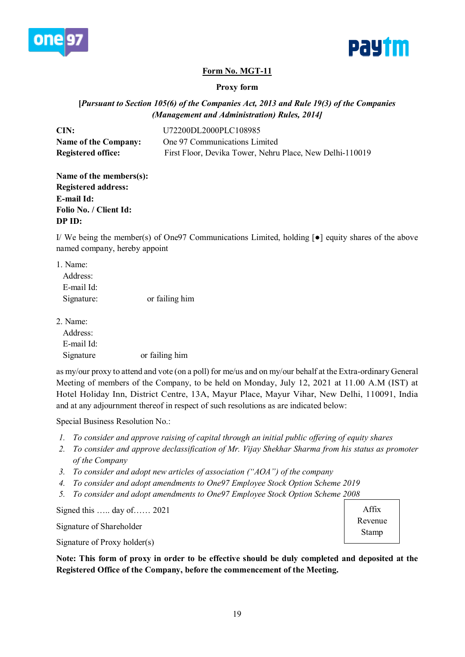



# **Form No. MGT-11**

### **Proxy form**

**[***Pursuant to Section 105(6) of the Companies Act, 2013 and Rule 19(3) of the Companies (Management and Administration) Rules, 2014]*

| CIN:                        | U72200DL2000PLC108985                                    |
|-----------------------------|----------------------------------------------------------|
| <b>Name of the Company:</b> | One 97 Communications Limited                            |
| <b>Registered office:</b>   | First Floor, Devika Tower, Nehru Place, New Delhi-110019 |

| Name of the members(s):    |
|----------------------------|
| <b>Registered address:</b> |
| E-mail Id:                 |
| Folio No. / Client Id:     |
| DP ID:                     |

I/ We being the member(s) of One97 Communications Limited, holding [●] equity shares of the above named company, hereby appoint

| or failing him |
|----------------|
|                |

2. Name:

| Address:   |                |
|------------|----------------|
| E-mail Id: |                |
| Signature  | or failing him |

as my/our proxy to attend and vote (on a poll) for me/us and on my/our behalf at the Extra-ordinary General Meeting of members of the Company, to be held on Monday, July 12, 2021 at 11.00 A.M (IST) at Hotel Holiday Inn, District Centre, 13A, Mayur Place, Mayur Vihar, New Delhi, 110091, India and at any adjournment thereof in respect of such resolutions as are indicated below:

Special Business Resolution No.:

- *1. To consider and approve raising of capital through an initial public offering of equity shares*
- *2. To consider and approve declassification of Mr. Vijay Shekhar Sharma from his status as promoter of the Company*
- *3. To consider and adopt new articles of association ("AOA") of the company*
- *4. To consider and adopt amendments to One97 Employee Stock Option Scheme 2019*
- *5. To consider and adopt amendments to One97 Employee Stock Option Scheme 2008*

Signed this ….. day of…… 2021

Signature of Shareholder

Signature of Proxy holder(s)

**Note: This form of proxy in order to be effective should be duly completed and deposited at the Registered Office of the Company, before the commencement of the Meeting.** 

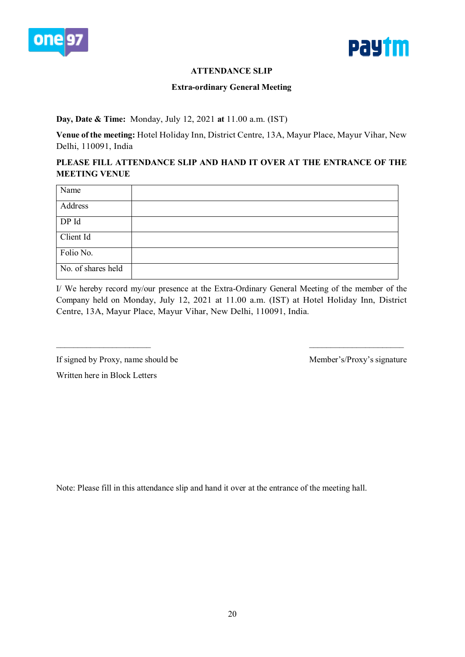



# **ATTENDANCE SLIP**

### **Extra-ordinary General Meeting**

### **Day, Date & Time:** Monday, July 12, 2021 **at** 11.00 a.m. (IST)

**Venue of the meeting:** Hotel Holiday Inn, District Centre, 13A, Mayur Place, Mayur Vihar, New Delhi, 110091, India

# **PLEASE FILL ATTENDANCE SLIP AND HAND IT OVER AT THE ENTRANCE OF THE MEETING VENUE**

| Name               |  |
|--------------------|--|
| Address            |  |
| DP Id              |  |
| Client Id          |  |
| Folio No.          |  |
| No. of shares held |  |

I/ We hereby record my/our presence at the Extra-Ordinary General Meeting of the member of the Company held on Monday, July 12, 2021 at 11.00 a.m. (IST) at Hotel Holiday Inn, District Centre, 13A, Mayur Place, Mayur Vihar, New Delhi, 110091, India.

 $\_$ 

If signed by Proxy, name should be Member's/Proxy's signature

Written here in Block Letters

Note: Please fill in this attendance slip and hand it over at the entrance of the meeting hall.